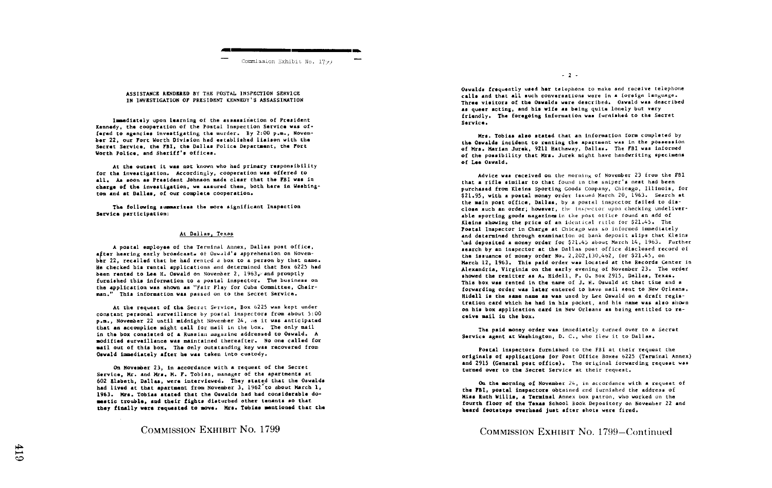

#### ASSISTANCE RENDERED BY THE POSTAL INSPECTION SERVICE IN INVESTIGATION OF PRESIDENT KENNEDY'S ASSASSINATION

Immediately upon learning of the assassination of President Kennedy, the cooperation of the Postal Inspection Service was offared to agencies investigating the murder. By 2:00 p.m., November 22, our Fort Worth Division had established liaison with the Secret Service, the FBI, the Dallas Police Department, the Fort Worth Police, and Shariff's offices.

At the outset it was not known who had primary responsibility for the investigation. Accordingly, cooperation was offered to all. As soon as President Johnson made clear that the FBI was in charge of the investigation, we assured them, both here in Washington and at Dallas, of our complete cooperation.

The following summarizes the more significant Inspection Service participation:

### At Dallas, Texas

A postal employee of the Terminal Annex. Dallas post office. after hearing early broadcast. of Oswald's apprehension on November 22, recalled that he had rented a box to a person by that name. He checked his rental applications and determined that Box 6225 had been rented to Lee H. Oswald on November 2, 1963. and promptly furnished this information to a postal inspector. The business on the application was shown as "Fair Play for Cuba Committee, Chairman." This information was passed on to the Secret Service.

At the request of the Secret Service, Box 6225 was kept under constant personal surveillance by postal inspectors from about 5:00 p.m., November 22 until midnight November 24, as it was anticipated that an accomplice might call for mail in the box. The only mail in the box consisted of a Russian magazine addressed to Oswald. A modified surveillance was maintained thereafter. No one called for mail out of this box. The only outstanding key was recovered from Oswald immediately after he was taken into custody.

On November 23, in accordance with a request of the Secret Service. Mr. and Mrs. M. F. Tobias, manager of the apartments at 602 Elsbeth, Dallas, were interviewed. They stated that the Oswalds had lived at that apartment from November 3, 1962 to about March 1, 1963. Mrs. Tobias stated that the Oswalds had had considerable domestic trouble, and their fights disturbed other tenants so that they finally were requested to move. Mrs. Tobias mentioned that the

COMMISSION EXHIBIT NO. 1799

Oswalds frequently used her telephone to make and receive telephone calls and that all such conversations were in a foreign language. Three visitors of the Oswalds were described. Oswald was described as queer acting, and his wife as being quite lonely but very friendly. The foregoing information was furnished to the Secret Sarvice.

 $-2$  -

Mrs. Tobias slag stated that an information form completed by the Oswalds incident to renting the apartment was in the possession of Mrs. Marian Jurek, 9211 Hathaway, Dallas. The FBI was informed of the possibility that Mrs. Jurek might have handwriting specimens of Lee Oswald.

Advice was received on the morning of November 23 from the FBI that a rifle similar to that found in the sniper's nest had been purchased from Kleins Sporting Goods Company, Chicago, Illinois, for \$21.95, with a postal money order issued March 20, 1963. Search at the main post office. Dallas, by a postal inspector failed to disclose such an order; however, the inspector upon checking undeliverable sporting goods magazines in the post office found an add of Kleins showing the price of an identical rifle for \$21.45. The Postal Inspector in Charge at Chicago was so informed immediately and datermined through examination of bank deposit slips that Kleins 'ind deposited a money order for \$21.45 about March 14, 1963. Further search by an inspector at the Dallas post office disclosed record of the issuance of money order No. 2.202.130.462. for \$21.45. on March 12, 1963. This paid order was located at the Records Center in Alexandria, Virginia on the early evening of November 23. The order showed the remitter as A. Hidell, P. O. Box 2915, Dallas, Texas. This box was rented in the name of J. H. Oswald at that time and a forwarding order was later entered to have mail sent to New Orleans. Hidell is the same name as was used by Lee Oswald on a draft registration card which he had in his pocket, and his name was also shown on his box application card in New Orleans as being entitled to receive mail in the box.

The paid money order was immediately turned over to a Secret Service agent at Washington, D. C., who flew it to Dallas.

Postal inspectors furnished to the FBI at their request the originals of applications for Post Office Boxes 6225 (Terminal Annex) and 2915 (General post office). The original forwarding request was turned over to the Secret Service at their request.

On the morning of November 24, in accordance with a request of the FBI, postal inspectors obtained and furnished the address of Miss Ruth Willis, a Terminal Annex box patron, who worked on the fourth floor of the Texas School Book Depository on November 22 and heard footstaps overhead just after shots were fired.

COMMISSION EXHIBIT No. 1799-Continued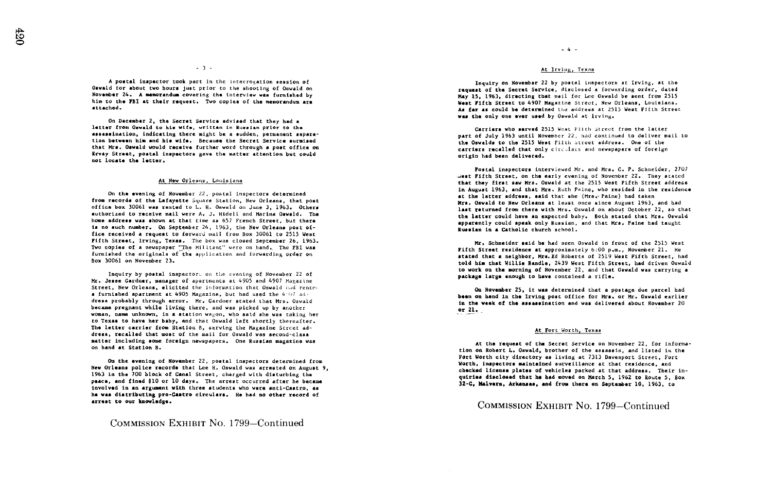$-3 -$ 

A postal inspector took part in the interrogation session of Oswald for about two hours Just prior to the shooting of Oswald o November 24. A memorandum covering the interview was furnished by him to the FBI at their request. Two copies of the memorandum are attached .

On December 2, the Secret Service advised that they had a latter from Oswald to his wife, written in Russian prior to the indicating there might be a sudden, permanent separation between him and his wife. Because the Secret Service surmised that Mrs. Oswald would receive further word through a post office on Ervay Street, postal inspectors gave the matter attention but could not locate the latter .

### At New Orleans, Louisiana

On the evening of November 22, postal inspectors determined from records of the Lafayette Square Station, New Orleans, that post office box 30061 was rented to L. H. Oswald on June 3, 1963. Others authorized to receive mail were A. J. Hidell and Marina Oswald. The home address was shown at that time as 657 French Street, but there is no such number. On September 24, 1963, the New Orleans post office received a request to forward mail from Box 30061 to 2515 West Fifth Street, Irving, Texas. The box was closed September 26, 1963. Two copies of a newspaper "The Militant" were on hand. The FBI we<br>furnished the originals of the application and forwarding order of ivo copies of a newspaper "ine militant" were on hand. The FBI was<br>furnished the originals of the application and forwarding order on<br>be Box 30061 on November 23.

Inquiry by postal inspectors on the evening of November 22 of Mr. Jesse Gardner, manager of apartments at 4905 and 4907 Magazine Street, New Orleans, elicited the information that Oswald had rentea furnished apartment at 4905 Magazine, but had used the 4 if7 dress probably through error. Mr. Gardner stated that Mrs. Oswald became pregnant while living there, and was picked up by another woman, name unknown, in a station wagon, who said she was taking he:<br>to Texas to have her baby, and that Oswald left shortly thereafter.<br>= woman, name unknown, in a station wavon, who said she was taking her The letter carrier from Station B, serving the Magazine Street ad dress, recalled that most of the mail for Oswald was second-class matter including some foreign newspapers. One Russian magazine was on hand at Station B .

On the evening of November 22, postal inspectors determined from New Orleans police records that Lee H . Oswald v , arrested on August 9, 1963 in the 700 block of Canal Street, charged with disturbing the<br>peace, and fined 810 or 10 days. The arrest occurred after he became<br>iounlued in an avoument with these students und uses and Centus, as involved in an argument with three students who were anti-Castro, a involved in an argument with three students who were anti-Castro, as<br>he was distributing pro-Castro circulars. He had no other record of arrest to our knowledge .

COMMISSION EXHIBIT No. 1799-Continued

## At Irving, Texas

Inquiry on November 22 by postal inspectors at Irving, at the request of the Secret Service, disclosed <sup>a</sup> forwarding order, dated May 15, 1963, directing that mall for Lee Oswald be sent from 2515 West Fifth Street to 4907 Magazine Street, New Orleans, Louisiana. As far a could be determined the address at 2515 West Fifth Street was the only one ever used by Oswald at Irving.

Carriers who served 2515 Wost Flith Street from the latter part of July 1963 until November 22, had continued to deliver moil to the Oswalds to the 2515 West Fifth Street address. One of the carriers recalled that only circulars and newspapers of foreign origin had been delivered .

Postal inspectors interviewed Mr. and Mrs. C. P. Schneider, 2707 west Fifth Street, on the early evening of November 22. They stated that they first saw Mrs. Oswald at the 2515 West Fifth Street address in August 1963, and that Mrs . Ruth Pains, who resided in the residence at the latter address, said that she (Mrs. Paine) had taken Mrs. Oswald to New Orleans at least once since August 1963, and had last returned from there with Mrs. Oswald on about October 22, so that last returned from there with Mrs. Oswald on about October 22, so that<br>the latter could have an expected baby. Both stated that Mrs. Oswald apparently could speak only Russian, and that Mrs. Paine had taught Russian in a Catholic church school .

Mr. Schneider said he had seen Oswald in front of the 2515 West Fifth Street residence at approximately 6 :00 p .m., November 21 . He stated that a neighbor, Mrs.Bd Roberts of 2519 West Fifth Street, had told him that Willie Randle, 2439 West Fifth Street, had driven Oswald to work on the morning of November 22, and that Oswald was carrying a package large enough to have contained a rifle .

On November 25, it was determined that a postage due parcel had On November 25, it was determined that a postage due parcel had<br>been on hand in the Irving post office for Mrs. or Mr. Oswald earlier<br>in the weak of the assassination and was delivered shout November 20 in the weak of the assassination and was delivered about November 20 or  $\mathbf{u}$ .

### At Fort Worth, Texas

At the request of the Secret Service on November 22, for informa-<br>tion on Robert L. Oswald, brother of the assassin, and listed in the<br>man Hank Minh 1110, 2110, 2110, 2110, 2110, 2110, 2110, 2110, 2110, 2110, 2110, 2110, 2 Fort Worth city directory as living at 7313 Davenport Street, Fort Worth, inspectors maintained surveillance at that residence, and checked license plates of vehicles parked at that address. Their inquiries disclosed that he had moved on March 5, 1962 to Route 5, Box 32-C, Malvern, Arkansas, and from there on September 10, 1963, to

# COMMISSION EXHIBIT NO. 1799-Continued